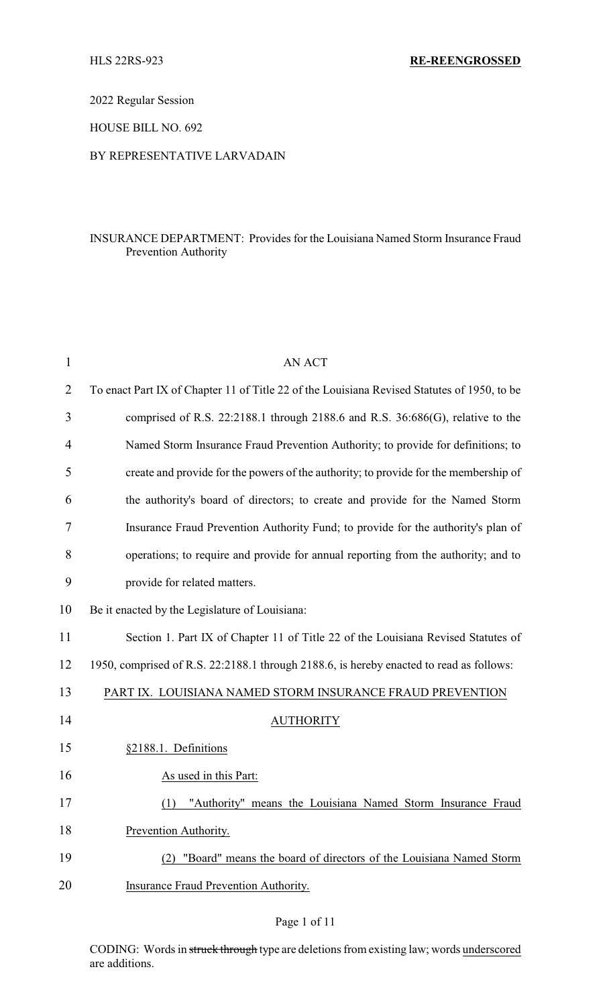2022 Regular Session

HOUSE BILL NO. 692

#### BY REPRESENTATIVE LARVADAIN

## INSURANCE DEPARTMENT: Provides for the Louisiana Named Storm Insurance Fraud Prevention Authority

| 1              | <b>AN ACT</b>                                                                               |
|----------------|---------------------------------------------------------------------------------------------|
| $\overline{2}$ | To enact Part IX of Chapter 11 of Title 22 of the Louisiana Revised Statutes of 1950, to be |
| 3              | comprised of R.S. 22:2188.1 through 2188.6 and R.S. 36:686(G), relative to the              |
| $\overline{4}$ | Named Storm Insurance Fraud Prevention Authority; to provide for definitions; to            |
| 5              | create and provide for the powers of the authority; to provide for the membership of        |
| 6              | the authority's board of directors; to create and provide for the Named Storm               |
| 7              | Insurance Fraud Prevention Authority Fund; to provide for the authority's plan of           |
| 8              | operations; to require and provide for annual reporting from the authority; and to          |
| 9              | provide for related matters.                                                                |
| 10             | Be it enacted by the Legislature of Louisiana:                                              |
| 11             | Section 1. Part IX of Chapter 11 of Title 22 of the Louisiana Revised Statutes of           |
| 12             | 1950, comprised of R.S. 22:2188.1 through 2188.6, is hereby enacted to read as follows:     |
| 13             | PART IX. LOUISIANA NAMED STORM INSURANCE FRAUD PREVENTION                                   |
| 14             | <b>AUTHORITY</b>                                                                            |
| 15             | §2188.1. Definitions                                                                        |
| 16             | As used in this Part:                                                                       |
| 17             | "Authority" means the Louisiana Named Storm Insurance Fraud                                 |
| 18             | Prevention Authority.                                                                       |
| 19             | "Board" means the board of directors of the Louisiana Named Storm<br>(2)                    |
| 20             | Insurance Fraud Prevention Authority.                                                       |

## Page 1 of 11

CODING: Words in struck through type are deletions from existing law; words underscored are additions.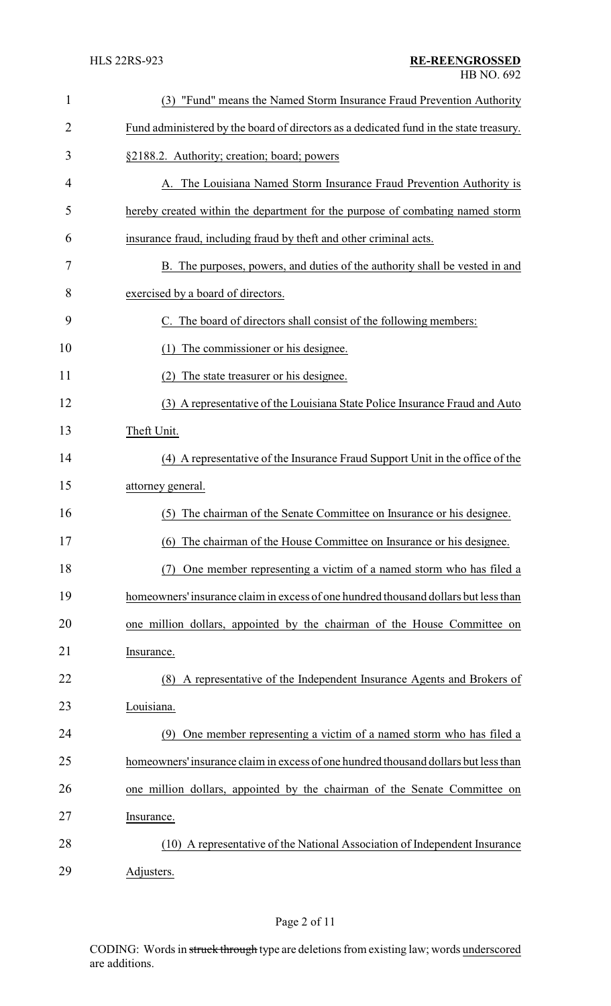| $\mathbf{1}$ | (3) "Fund" means the Named Storm Insurance Fraud Prevention Authority                  |
|--------------|----------------------------------------------------------------------------------------|
| 2            | Fund administered by the board of directors as a dedicated fund in the state treasury. |
| 3            | §2188.2. Authority; creation; board; powers                                            |
| 4            | A. The Louisiana Named Storm Insurance Fraud Prevention Authority is                   |
| 5            | hereby created within the department for the purpose of combating named storm          |
| 6            | insurance fraud, including fraud by theft and other criminal acts.                     |
| 7            | B. The purposes, powers, and duties of the authority shall be vested in and            |
| 8            | exercised by a board of directors.                                                     |
| 9            | C. The board of directors shall consist of the following members:                      |
| 10           | The commissioner or his designee.<br>(1)                                               |
| 11           | The state treasurer or his designee.<br>(2)                                            |
| 12           | (3) A representative of the Louisiana State Police Insurance Fraud and Auto            |
| 13           | Theft Unit.                                                                            |
| 14           | (4) A representative of the Insurance Fraud Support Unit in the office of the          |
| 15           | attorney general.                                                                      |
| 16           | The chairman of the Senate Committee on Insurance or his designee.<br>(5)              |
| 17           | (6) The chairman of the House Committee on Insurance or his designee.                  |
| 18           | One member representing a victim of a named storm who has filed a                      |
| 19           | homeowners' insurance claim in excess of one hundred thousand dollars but less than    |
| 20           | one million dollars, appointed by the chairman of the House Committee on               |
| 21           | Insurance.                                                                             |
| 22           | (8) A representative of the Independent Insurance Agents and Brokers of                |
| 23           | Louisiana.                                                                             |
| 24           | One member representing a victim of a named storm who has filed a<br>(9)               |
| 25           | homeowners' insurance claim in excess of one hundred thousand dollars but less than    |
| 26           | one million dollars, appointed by the chairman of the Senate Committee on              |
| 27           | Insurance.                                                                             |
| 28           | (10) A representative of the National Association of Independent Insurance             |
| 29           | Adjusters.                                                                             |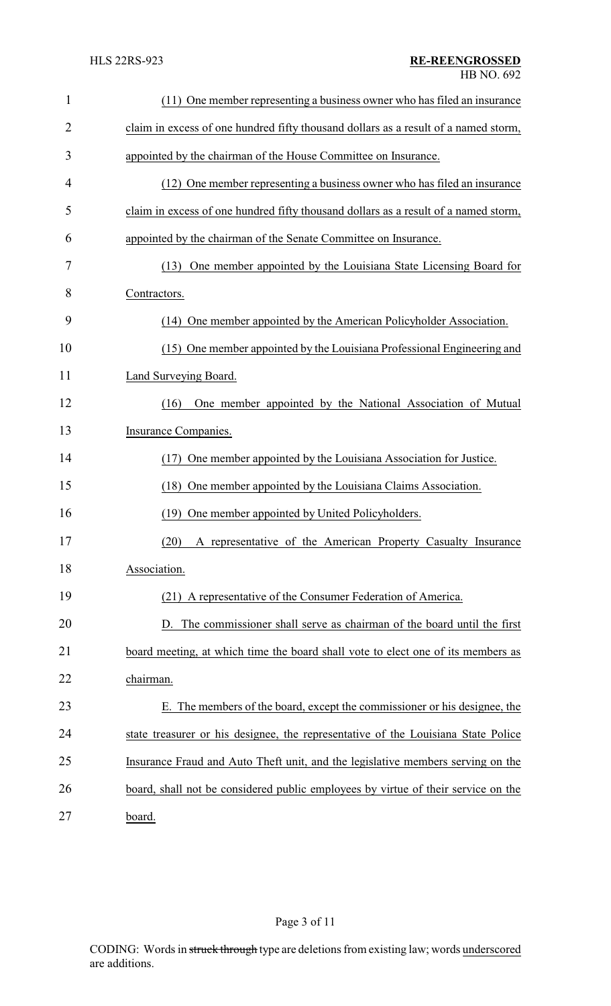| $\mathbf{1}$ | (11) One member representing a business owner who has filed an insurance            |
|--------------|-------------------------------------------------------------------------------------|
| 2            | claim in excess of one hundred fifty thousand dollars as a result of a named storm, |
| 3            | appointed by the chairman of the House Committee on Insurance.                      |
| 4            | (12) One member representing a business owner who has filed an insurance            |
| 5            | claim in excess of one hundred fifty thousand dollars as a result of a named storm, |
| 6            | appointed by the chairman of the Senate Committee on Insurance.                     |
| 7            | (13) One member appointed by the Louisiana State Licensing Board for                |
| 8            | Contractors.                                                                        |
| 9            | (14) One member appointed by the American Policyholder Association.                 |
| 10           | (15) One member appointed by the Louisiana Professional Engineering and             |
| 11           | Land Surveying Board.                                                               |
| 12           | One member appointed by the National Association of Mutual<br>(16)                  |
| 13           | Insurance Companies.                                                                |
| 14           | One member appointed by the Louisiana Association for Justice.<br>(17)              |
| 15           | (18) One member appointed by the Louisiana Claims Association.                      |
| 16           | One member appointed by United Policyholders.<br>(19)                               |
| 17           | (20) A representative of the American Property Casualty Insurance                   |
| 18           | Association.                                                                        |
| 19           | (21) A representative of the Consumer Federation of America.                        |
| 20           | D. The commissioner shall serve as chairman of the board until the first            |
| 21           | board meeting, at which time the board shall vote to elect one of its members as    |
| 22           | chairman.                                                                           |
| 23           | E. The members of the board, except the commissioner or his designee, the           |
| 24           | state treasurer or his designee, the representative of the Louisiana State Police   |
| 25           | Insurance Fraud and Auto Theft unit, and the legislative members serving on the     |
| 26           | board, shall not be considered public employees by virtue of their service on the   |
| 27           | board.                                                                              |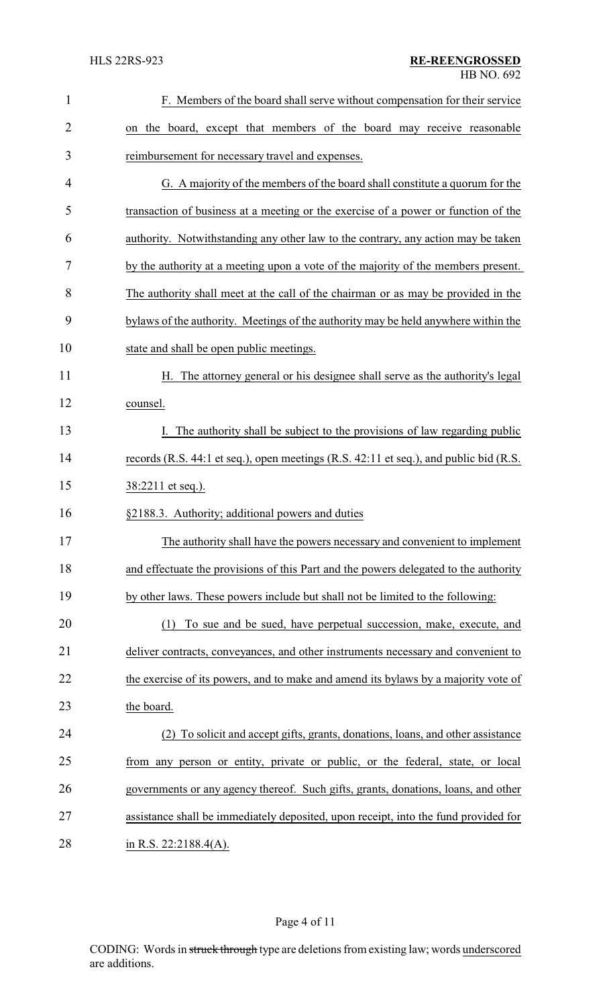| $\mathbf{1}$   | F. Members of the board shall serve without compensation for their service            |
|----------------|---------------------------------------------------------------------------------------|
| $\overline{2}$ | on the board, except that members of the board may receive reasonable                 |
| 3              | reimbursement for necessary travel and expenses.                                      |
| 4              | G. A majority of the members of the board shall constitute a quorum for the           |
| 5              | transaction of business at a meeting or the exercise of a power or function of the    |
| 6              | authority. Notwithstanding any other law to the contrary, any action may be taken     |
| 7              | by the authority at a meeting upon a vote of the majority of the members present.     |
| 8              | The authority shall meet at the call of the chairman or as may be provided in the     |
| 9              | bylaws of the authority. Meetings of the authority may be held anywhere within the    |
| 10             | state and shall be open public meetings.                                              |
| 11             | The attorney general or his designee shall serve as the authority's legal<br>Н.       |
| 12             | counsel.                                                                              |
| 13             | I. The authority shall be subject to the provisions of law regarding public           |
| 14             | records (R.S. 44:1 et seq.), open meetings (R.S. 42:11 et seq.), and public bid (R.S. |
| 15             | 38:2211 et seq.).                                                                     |
| 16             | §2188.3. Authority; additional powers and duties                                      |
| 17             | The authority shall have the powers necessary and convenient to implement             |
| 18             | and effectuate the provisions of this Part and the powers delegated to the authority  |
| 19             | by other laws. These powers include but shall not be limited to the following:        |
| 20             | To sue and be sued, have perpetual succession, make, execute, and<br>(1)              |
| 21             | deliver contracts, conveyances, and other instruments necessary and convenient to     |
| 22             | the exercise of its powers, and to make and amend its bylaws by a majority vote of    |
| 23             | the board.                                                                            |
| 24             | (2) To solicit and accept gifts, grants, donations, loans, and other assistance       |
| 25             | from any person or entity, private or public, or the federal, state, or local         |
| 26             | governments or any agency thereof. Such gifts, grants, donations, loans, and other    |
| 27             | assistance shall be immediately deposited, upon receipt, into the fund provided for   |
| 28             | in R.S. 22:2188.4(A).                                                                 |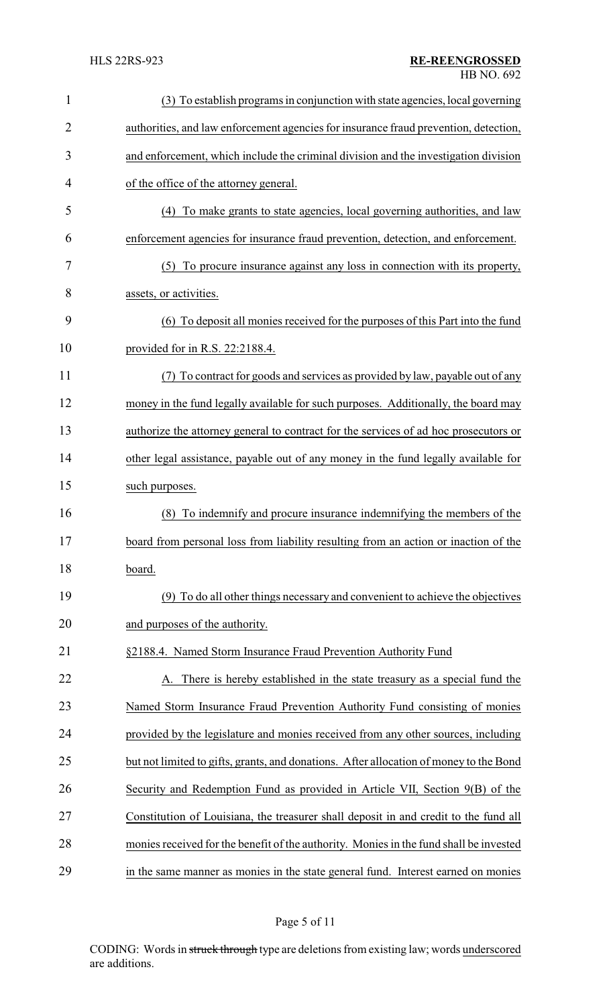| 1              | (3) To establish programs in conjunction with state agencies, local governing          |
|----------------|----------------------------------------------------------------------------------------|
| $\overline{2}$ | authorities, and law enforcement agencies for insurance fraud prevention, detection,   |
| 3              | and enforcement, which include the criminal division and the investigation division    |
| $\overline{4}$ | of the office of the attorney general.                                                 |
| 5              | To make grants to state agencies, local governing authorities, and law<br>(4)          |
| 6              | enforcement agencies for insurance fraud prevention, detection, and enforcement.       |
| 7              | (5) To procure insurance against any loss in connection with its property,             |
| 8              | assets, or activities.                                                                 |
| 9              | (6) To deposit all monies received for the purposes of this Part into the fund         |
| 10             | provided for in R.S. 22:2188.4.                                                        |
| 11             | To contract for goods and services as provided by law, payable out of any              |
| 12             | money in the fund legally available for such purposes. Additionally, the board may     |
| 13             | authorize the attorney general to contract for the services of ad hoc prosecutors or   |
| 14             | other legal assistance, payable out of any money in the fund legally available for     |
| 15             | such purposes.                                                                         |
| 16             | To indemnify and procure insurance indemnifying the members of the<br>(8)              |
| 17             | board from personal loss from liability resulting from an action or inaction of the    |
| 18             | board.                                                                                 |
| 19             | (9) To do all other things necessary and convenient to achieve the objectives          |
| 20             | and purposes of the authority.                                                         |
| 21             | §2188.4. Named Storm Insurance Fraud Prevention Authority Fund                         |
| 22             | A. There is hereby established in the state treasury as a special fund the             |
| 23             | Named Storm Insurance Fraud Prevention Authority Fund consisting of monies             |
| 24             | provided by the legislature and monies received from any other sources, including      |
| 25             | but not limited to gifts, grants, and donations. After allocation of money to the Bond |
| 26             | Security and Redemption Fund as provided in Article VII, Section 9(B) of the           |
| 27             | Constitution of Louisiana, the treasurer shall deposit in and credit to the fund all   |
| 28             | monies received for the benefit of the authority. Monies in the fund shall be invested |
| 29             | in the same manner as monies in the state general fund. Interest earned on monies      |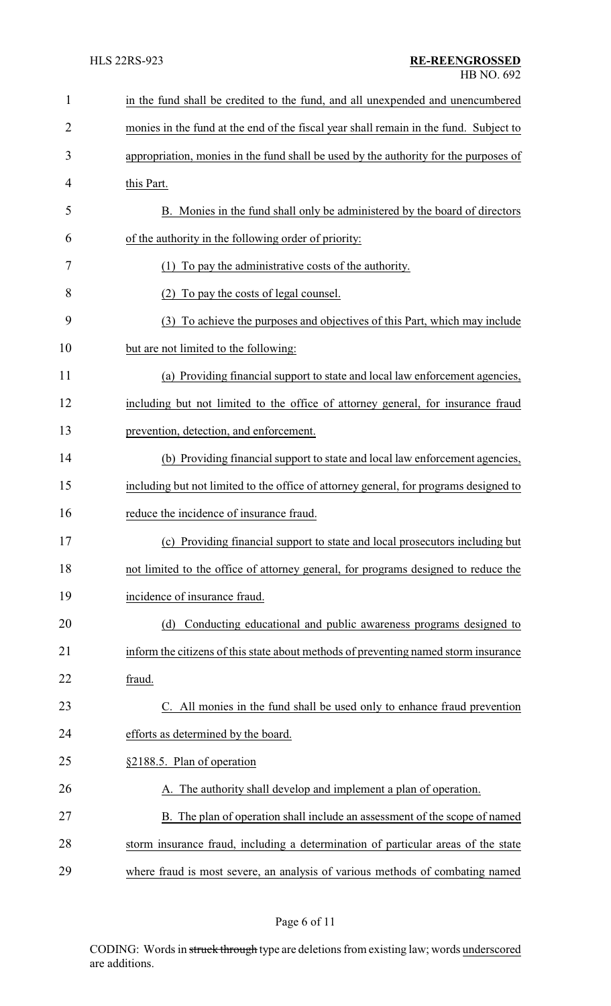| $\mathbf{1}$   | in the fund shall be credited to the fund, and all unexpended and unencumbered        |
|----------------|---------------------------------------------------------------------------------------|
| $\overline{2}$ | monies in the fund at the end of the fiscal year shall remain in the fund. Subject to |
| 3              | appropriation, monies in the fund shall be used by the authority for the purposes of  |
| 4              | this Part.                                                                            |
| 5              | B. Monies in the fund shall only be administered by the board of directors            |
| 6              | of the authority in the following order of priority:                                  |
| 7              | To pay the administrative costs of the authority.<br>(1)                              |
| 8              | To pay the costs of legal counsel.<br>(2)                                             |
| 9              | (3) To achieve the purposes and objectives of this Part, which may include            |
| 10             | but are not limited to the following:                                                 |
| 11             | (a) Providing financial support to state and local law enforcement agencies,          |
| 12             | including but not limited to the office of attorney general, for insurance fraud      |
| 13             | prevention, detection, and enforcement.                                               |
| 14             | (b) Providing financial support to state and local law enforcement agencies,          |
| 15             | including but not limited to the office of attorney general, for programs designed to |
| 16             | reduce the incidence of insurance fraud.                                              |
| 17             | (c) Providing financial support to state and local prosecutors including but          |
| 18             | not limited to the office of attorney general, for programs designed to reduce the    |
| 19             | incidence of insurance fraud.                                                         |
| 20             | Conducting educational and public awareness programs designed to<br>(d)               |
| 21             | inform the citizens of this state about methods of preventing named storm insurance   |
| 22             | fraud.                                                                                |
| 23             | C. All monies in the fund shall be used only to enhance fraud prevention              |
| 24             | efforts as determined by the board.                                                   |
| 25             | §2188.5. Plan of operation                                                            |
| 26             | A. The authority shall develop and implement a plan of operation.                     |
| 27             | B. The plan of operation shall include an assessment of the scope of named            |
| 28             | storm insurance fraud, including a determination of particular areas of the state     |
| 29             | where fraud is most severe, an analysis of various methods of combating named         |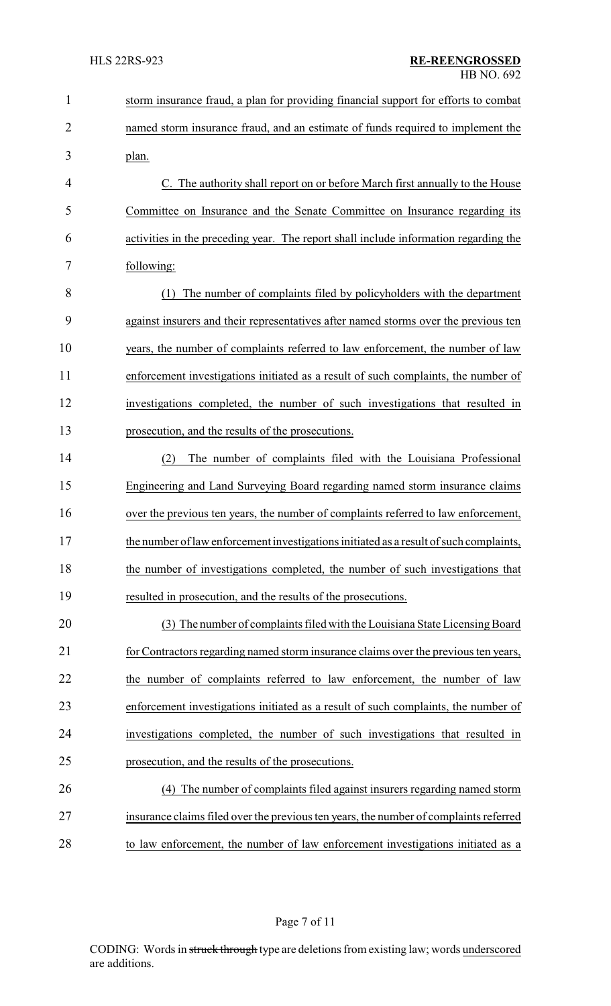| $\mathbf{1}$   | storm insurance fraud, a plan for providing financial support for efforts to combat    |
|----------------|----------------------------------------------------------------------------------------|
| $\overline{2}$ | named storm insurance fraud, and an estimate of funds required to implement the        |
| 3              | plan.                                                                                  |
| 4              | C. The authority shall report on or before March first annually to the House           |
| 5              | Committee on Insurance and the Senate Committee on Insurance regarding its             |
| 6              | activities in the preceding year. The report shall include information regarding the   |
| 7              | following:                                                                             |
| 8              | The number of complaints filed by policyholders with the department<br>(1)             |
| 9              | against insurers and their representatives after named storms over the previous ten    |
| 10             | years, the number of complaints referred to law enforcement, the number of law         |
| 11             | enforcement investigations initiated as a result of such complaints, the number of     |
| 12             | investigations completed, the number of such investigations that resulted in           |
| 13             | prosecution, and the results of the prosecutions.                                      |
| 14             | The number of complaints filed with the Louisiana Professional<br>(2)                  |
| 15             | Engineering and Land Surveying Board regarding named storm insurance claims            |
| 16             | over the previous ten years, the number of complaints referred to law enforcement,     |
| 17             | the number of law enforcement investigations initiated as a result of such complaints, |
| 18             | the number of investigations completed, the number of such investigations that         |
| 19             | resulted in prosecution, and the results of the prosecutions.                          |
| 20             | (3) The number of complaints filed with the Louisiana State Licensing Board            |
| 21             | for Contractors regarding named storm insurance claims over the previous ten years,    |
| 22             | the number of complaints referred to law enforcement, the number of law                |
| 23             | enforcement investigations initiated as a result of such complaints, the number of     |
| 24             | investigations completed, the number of such investigations that resulted in           |
| 25             | prosecution, and the results of the prosecutions.                                      |
| 26             | The number of complaints filed against insurers regarding named storm<br>(4)           |
| 27             | insurance claims filed over the previous ten years, the number of complaints referred  |
| 28             | to law enforcement, the number of law enforcement investigations initiated as a        |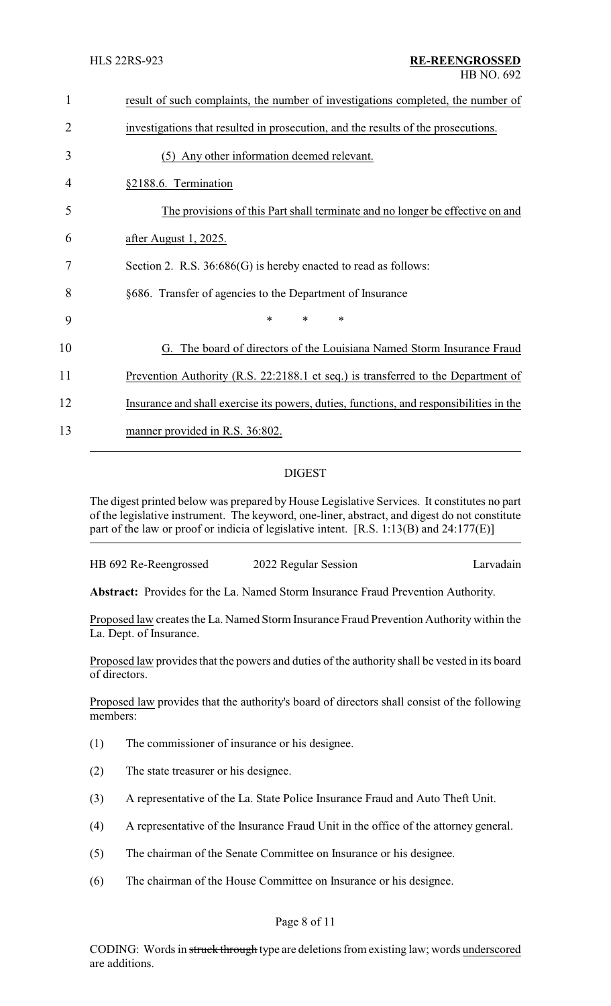| 1  | result of such complaints, the number of investigations completed, the number of        |
|----|-----------------------------------------------------------------------------------------|
| 2  | investigations that resulted in prosecution, and the results of the prosecutions.       |
| 3  | (5) Any other information deemed relevant.                                              |
| 4  | §2188.6. Termination                                                                    |
| 5  | The provisions of this Part shall terminate and no longer be effective on and           |
| 6  | after August 1, 2025.                                                                   |
| 7  | Section 2. R.S. $36:686(G)$ is hereby enacted to read as follows:                       |
| 8  | §686. Transfer of agencies to the Department of Insurance                               |
| 9  | *<br>*<br>$\ast$                                                                        |
| 10 | G. The board of directors of the Louisiana Named Storm Insurance Fraud                  |
| 11 | Prevention Authority (R.S. 22:2188.1 et seq.) is transferred to the Department of       |
| 12 | Insurance and shall exercise its powers, duties, functions, and responsibilities in the |
| 13 | manner provided in R.S. 36:802.                                                         |

# DIGEST

The digest printed below was prepared by House Legislative Services. It constitutes no part of the legislative instrument. The keyword, one-liner, abstract, and digest do not constitute part of the law or proof or indicia of legislative intent. [R.S. 1:13(B) and 24:177(E)]

**Abstract:** Provides for the La. Named Storm Insurance Fraud Prevention Authority.

Proposed law creates the La. Named Storm Insurance Fraud Prevention Authority within the La. Dept. of Insurance.

Proposed law provides that the powers and duties of the authority shall be vested in its board of directors.

Proposed law provides that the authority's board of directors shall consist of the following members:

- (1) The commissioner of insurance or his designee.
- (2) The state treasurer or his designee.
- (3) A representative of the La. State Police Insurance Fraud and Auto Theft Unit.
- (4) A representative of the Insurance Fraud Unit in the office of the attorney general.
- (5) The chairman of the Senate Committee on Insurance or his designee.
- (6) The chairman of the House Committee on Insurance or his designee.

#### Page 8 of 11

CODING: Words in struck through type are deletions from existing law; words underscored are additions.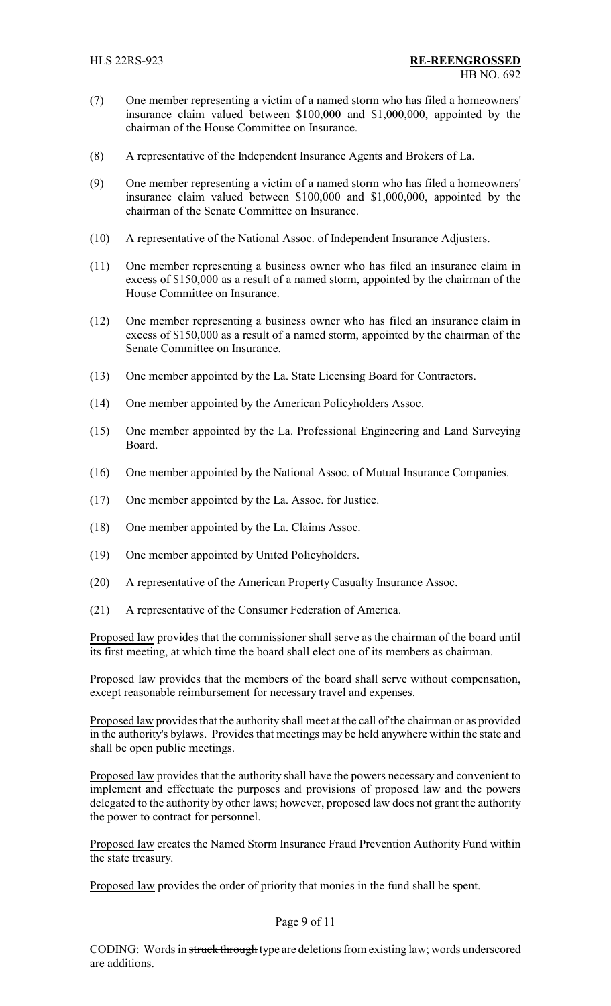- (7) One member representing a victim of a named storm who has filed a homeowners' insurance claim valued between \$100,000 and \$1,000,000, appointed by the chairman of the House Committee on Insurance.
- (8) A representative of the Independent Insurance Agents and Brokers of La.
- (9) One member representing a victim of a named storm who has filed a homeowners' insurance claim valued between \$100,000 and \$1,000,000, appointed by the chairman of the Senate Committee on Insurance.
- (10) A representative of the National Assoc. of Independent Insurance Adjusters.
- (11) One member representing a business owner who has filed an insurance claim in excess of \$150,000 as a result of a named storm, appointed by the chairman of the House Committee on Insurance.
- (12) One member representing a business owner who has filed an insurance claim in excess of \$150,000 as a result of a named storm, appointed by the chairman of the Senate Committee on Insurance.
- (13) One member appointed by the La. State Licensing Board for Contractors.
- (14) One member appointed by the American Policyholders Assoc.
- (15) One member appointed by the La. Professional Engineering and Land Surveying Board.
- (16) One member appointed by the National Assoc. of Mutual Insurance Companies.
- (17) One member appointed by the La. Assoc. for Justice.
- (18) One member appointed by the La. Claims Assoc.
- (19) One member appointed by United Policyholders.
- (20) A representative of the American Property Casualty Insurance Assoc.
- (21) A representative of the Consumer Federation of America.

Proposed law provides that the commissioner shall serve as the chairman of the board until its first meeting, at which time the board shall elect one of its members as chairman.

Proposed law provides that the members of the board shall serve without compensation, except reasonable reimbursement for necessary travel and expenses.

Proposed law provides that the authority shall meet at the call of the chairman or as provided in the authority's bylaws. Provides that meetings may be held anywhere within the state and shall be open public meetings.

Proposed law provides that the authority shall have the powers necessary and convenient to implement and effectuate the purposes and provisions of proposed law and the powers delegated to the authority by other laws; however, proposed law does not grant the authority the power to contract for personnel.

Proposed law creates the Named Storm Insurance Fraud Prevention Authority Fund within the state treasury.

Proposed law provides the order of priority that monies in the fund shall be spent.

#### Page 9 of 11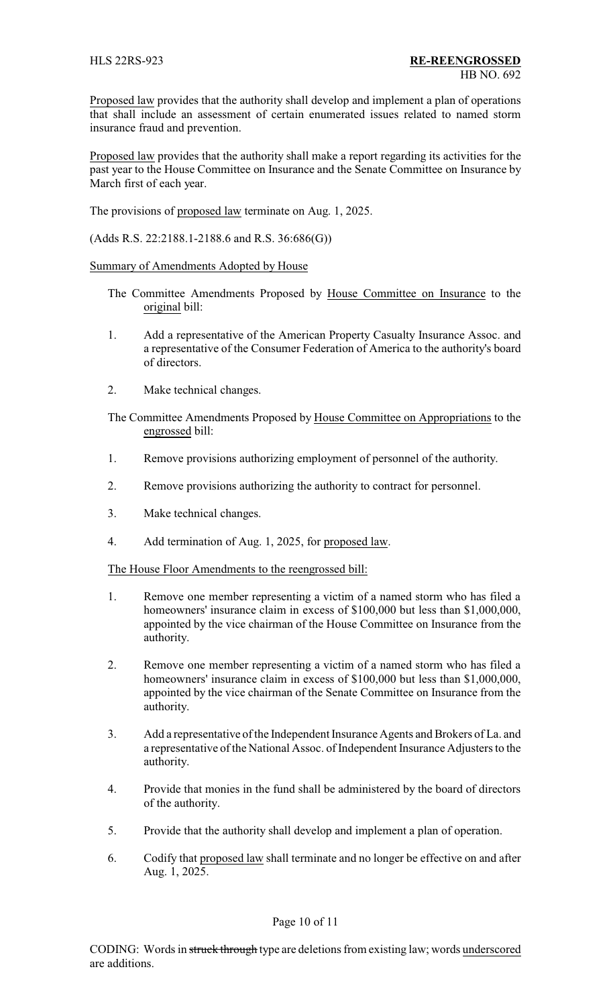Proposed law provides that the authority shall develop and implement a plan of operations that shall include an assessment of certain enumerated issues related to named storm insurance fraud and prevention.

Proposed law provides that the authority shall make a report regarding its activities for the past year to the House Committee on Insurance and the Senate Committee on Insurance by March first of each year.

The provisions of proposed law terminate on Aug. 1, 2025.

(Adds R.S. 22:2188.1-2188.6 and R.S. 36:686(G))

Summary of Amendments Adopted by House

- The Committee Amendments Proposed by House Committee on Insurance to the original bill:
- 1. Add a representative of the American Property Casualty Insurance Assoc. and a representative of the Consumer Federation of America to the authority's board of directors.
- 2. Make technical changes.

The Committee Amendments Proposed by House Committee on Appropriations to the engrossed bill:

- 1. Remove provisions authorizing employment of personnel of the authority.
- 2. Remove provisions authorizing the authority to contract for personnel.
- 3. Make technical changes.
- 4. Add termination of Aug. 1, 2025, for proposed law.

The House Floor Amendments to the reengrossed bill:

- 1. Remove one member representing a victim of a named storm who has filed a homeowners' insurance claim in excess of \$100,000 but less than \$1,000,000, appointed by the vice chairman of the House Committee on Insurance from the authority.
- 2. Remove one member representing a victim of a named storm who has filed a homeowners' insurance claim in excess of \$100,000 but less than \$1,000,000, appointed by the vice chairman of the Senate Committee on Insurance from the authority.
- 3. Add a representative of the Independent Insurance Agents and Brokers of La. and a representative of the National Assoc. of Independent Insurance Adjusters to the authority.
- 4. Provide that monies in the fund shall be administered by the board of directors of the authority.
- 5. Provide that the authority shall develop and implement a plan of operation.
- 6. Codify that proposed law shall terminate and no longer be effective on and after Aug. 1, 2025.

#### Page 10 of 11